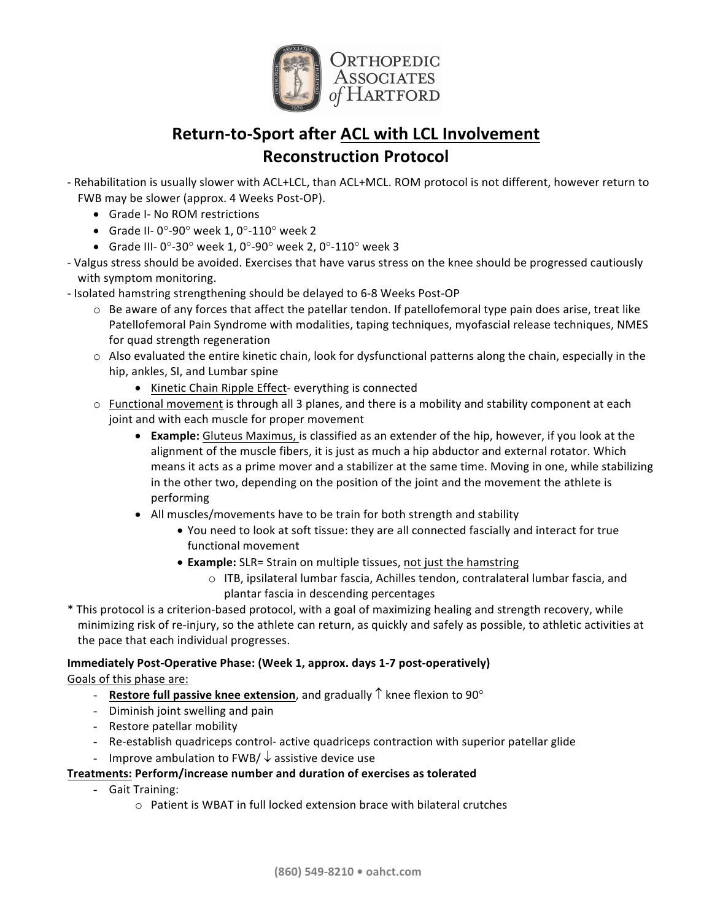

# **Return-to-Sport after ACL with LCL Involvement Reconstruction Protocol**

- Rehabilitation is usually slower with ACL+LCL, than ACL+MCL. ROM protocol is not different, however return to FWB may be slower (approx. 4 Weeks Post-OP).
	- Grade I- No ROM restrictions
	- Grade II-  $0^\circ$ -90° week 1,  $0^\circ$ -110° week 2
	- Grade III-  $0^\circ$ -30° week 1, 0°-90° week 2, 0°-110° week 3
- Valgus stress should be avoided. Exercises that have varus stress on the knee should be progressed cautiously with symptom monitoring.
- Isolated hamstring strengthening should be delayed to 6-8 Weeks Post-OP
	- $\circ$  Be aware of any forces that affect the patellar tendon. If patellofemoral type pain does arise, treat like Patellofemoral Pain Syndrome with modalities, taping techniques, myofascial release techniques, NMES for quad strength regeneration
	- $\circ$  Also evaluated the entire kinetic chain, look for dysfunctional patterns along the chain, especially in the hip, ankles, SI, and Lumbar spine
		- Kinetic Chain Ripple Effect- everything is connected
	- $\circ$  Functional movement is through all 3 planes, and there is a mobility and stability component at each joint and with each muscle for proper movement
		- **Example:** Gluteus Maximus, is classified as an extender of the hip, however, if you look at the alignment of the muscle fibers, it is just as much a hip abductor and external rotator. Which means it acts as a prime mover and a stabilizer at the same time. Moving in one, while stabilizing in the other two, depending on the position of the joint and the movement the athlete is performing
		- All muscles/movements have to be train for both strength and stability
			- You need to look at soft tissue: they are all connected fascially and interact for true functional movement
			- **Example:** SLR= Strain on multiple tissues, not just the hamstring
				- $\circ$  ITB, ipsilateral lumbar fascia, Achilles tendon, contralateral lumbar fascia, and plantar fascia in descending percentages
- \* This protocol is a criterion-based protocol, with a goal of maximizing healing and strength recovery, while minimizing risk of re-injury, so the athlete can return, as quickly and safely as possible, to athletic activities at the pace that each individual progresses.

# **Immediately Post-Operative Phase: (Week 1, approx. days 1-7 post-operatively)**

Goals of this phase are:

- **Restore full passive knee extension**, and gradually  $\hat{\Gamma}$  knee flexion to 90 $^{\circ}$
- Diminish joint swelling and pain
- Restore patellar mobility
- Re-establish quadriceps control- active quadriceps contraction with superior patellar glide
- Improve ambulation to FWB/  $\downarrow$  assistive device use

# **Treatments: Perform/increase number and duration of exercises as tolerated**

- Gait Training:
	- $\circ$  Patient is WBAT in full locked extension brace with bilateral crutches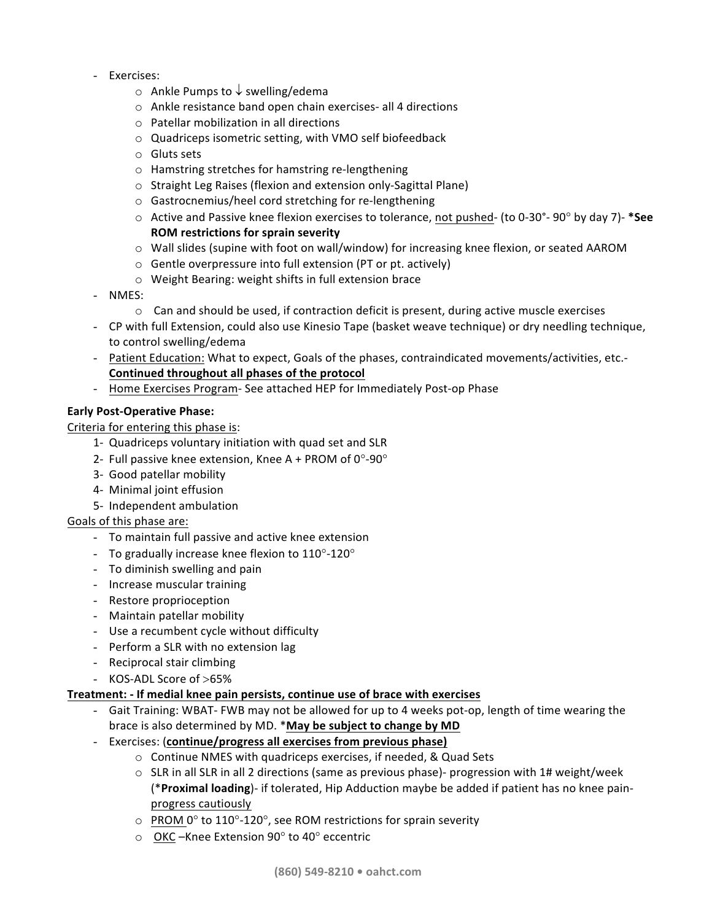- Exercises:
	- $\circ$  Ankle Pumps to  $\downarrow$  swelling/edema
	- $\circ$  Ankle resistance band open chain exercises- all 4 directions
	- $\circ$  Patellar mobilization in all directions
	- $\circ$  Quadriceps isometric setting, with VMO self biofeedback
	- $\circ$  Gluts sets
	- $\circ$  Hamstring stretches for hamstring re-lengthening
	- o Straight Leg Raises (flexion and extension only-Sagittal Plane)
	- o Gastrocnemius/heel cord stretching for re-lengthening
	- $\circ$  Active and Passive knee flexion exercises to tolerance, not pushed- (to 0-30°- 90° by day 7)- \*See **ROM restrictions for sprain severity**
	- $\circ$  Wall slides (supine with foot on wall/window) for increasing knee flexion, or seated AAROM
	- $\circ$  Gentle overpressure into full extension (PT or pt. actively)
	- $\circ$  Weight Bearing: weight shifts in full extension brace
- NMES:
	- $\circ$  Can and should be used, if contraction deficit is present, during active muscle exercises
- CP with full Extension, could also use Kinesio Tape (basket weave technique) or dry needling technique, to control swelling/edema
- Patient Education: What to expect, Goals of the phases, contraindicated movements/activities, etc.-**Continued throughout all phases of the protocol**
- Home Exercises Program- See attached HEP for Immediately Post-op Phase

# **Early Post-Operative Phase:**

Criteria for entering this phase is:

- 1- Quadriceps voluntary initiation with quad set and SLR
- 2- Full passive knee extension, Knee A + PROM of  $0^{\circ}$ -90°
- 3- Good patellar mobility
- 4- Minimal joint effusion
- 5- Independent ambulation

# Goals of this phase are:

- To maintain full passive and active knee extension
- To gradually increase knee flexion to  $110^{\circ}$ -120°
- To diminish swelling and pain
- Increase muscular training
- Restore proprioception
- Maintain patellar mobility
- Use a recumbent cycle without difficulty
- Perform a SLR with no extension lag
- Reciprocal stair climbing
- KOS-ADL Score of >65%

# **Treatment: - If medial knee pain persists, continue use of brace with exercises**

- Gait Training: WBAT- FWB may not be allowed for up to 4 weeks pot-op, length of time wearing the brace is also determined by MD. \*May be subject to change by MD
- Exercises: (continue/progress all exercises from previous phase)
	- $\circ$  Continue NMES with quadriceps exercises, if needed, & Quad Sets
	- $\circ$  SLR in all SLR in all 2 directions (same as previous phase)- progression with 1# weight/week (\***Proximal loading**)- if tolerated, Hip Adduction maybe be added if patient has no knee painprogress cautiously
	- $\circ$  PROM 0° to 110°-120°, see ROM restrictions for sprain severity
	- $\circ$  OKC –Knee Extension 90° to 40° eccentric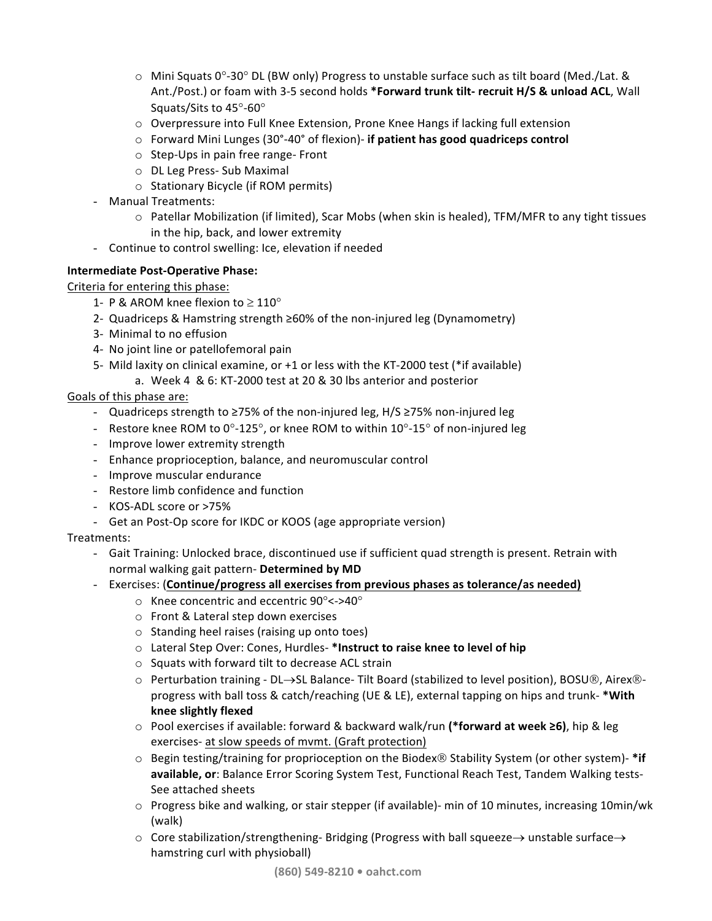- $\circ$  Mini Squats 0°-30° DL (BW only) Progress to unstable surface such as tilt board (Med./Lat. & Ant./Post.) or foam with 3-5 second holds \*Forward trunk tilt- recruit H/S & unload ACL, Wall Squats/Sits to 45°-60°
- $\circ$  Overpressure into Full Knee Extension, Prone Knee Hangs if lacking full extension
- o Forward Mini Lunges (30°-40° of flexion)- if patient has good quadriceps control
- $\circ$  Step-Ups in pain free range- Front
- o DL Leg Press- Sub Maximal
- $\circ$  Stationary Bicycle (if ROM permits)
- Manual Treatments:
	- $\circ$  Patellar Mobilization (if limited), Scar Mobs (when skin is healed), TFM/MFR to any tight tissues in the hip, back, and lower extremity
- Continue to control swelling: Ice, elevation if needed

# **Intermediate Post-Operative Phase:**

Criteria for entering this phase:

- 1- P & AROM knee flexion to  $\geq 110^{\circ}$
- 2- Quadriceps & Hamstring strength ≥60% of the non-injured leg (Dynamometry)
- 3- Minimal to no effusion
- 4- No joint line or patellofemoral pain
- 5- Mild laxity on clinical examine, or  $+1$  or less with the KT-2000 test (\*if available)
	- a. Week 4 & 6: KT-2000 test at 20 & 30 lbs anterior and posterior

# Goals of this phase are:

- Quadriceps strength to ≥75% of the non-injured leg, H/S ≥75% non-injured leg
- Restore knee ROM to  $0^{\circ}$ -125°, or knee ROM to within 10°-15° of non-injured leg
- Improve lower extremity strength
- Enhance proprioception, balance, and neuromuscular control
- Improve muscular endurance
- Restore limb confidence and function
- KOS-ADL score or >75%
- Get an Post-Op score for IKDC or KOOS (age appropriate version)

# Treatments:

- Gait Training: Unlocked brace, discontinued use if sufficient quad strength is present. Retrain with normal walking gait pattern- Determined by MD
- Exercises: (Continue/progress all exercises from previous phases as tolerance/as needed)
	- $\circ$  Knee concentric and eccentric 90°<->40°
	- $\circ$  Front & Lateral step down exercises
	- $\circ$  Standing heel raises (raising up onto toes)
	- $\circ$  Lateral Step Over: Cones, Hurdles- \*Instruct to raise knee to level of hip
	- $\circ$  Squats with forward tilt to decrease ACL strain
	- $\circ$  Perturbation training DL $\rightarrow$ SL Balance- Tilt Board (stabilized to level position), BOSU®, Airex®progress with ball toss & catch/reaching (UE & LE), external tapping on hips and trunk- \*With **knee slightly flexed**
	- o Pool exercises if available: forward & backward walk/run (\*forward at week ≥6), hip & leg exercises- at slow speeds of mvmt. (Graft protection)
	- $\circ$  Begin testing/training for proprioception on the Biodex<sup>®</sup> Stability System (or other system)- \*if available, or: Balance Error Scoring System Test, Functional Reach Test, Tandem Walking tests-See attached sheets
	- $\circ$  Progress bike and walking, or stair stepper (if available)- min of 10 minutes, increasing 10min/wk (walk)
	- $\circ$  Core stabilization/strengthening-Bridging (Progress with ball squeeze  $\rightarrow$  unstable surface  $\rightarrow$ hamstring curl with physioball)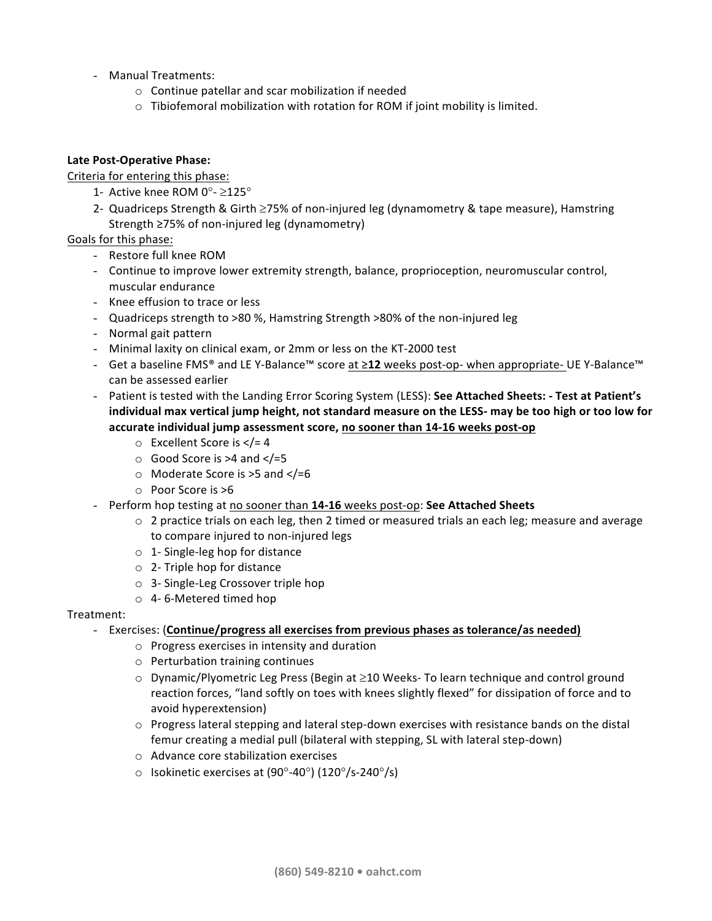- Manual Treatments:
	- $\circ$  Continue patellar and scar mobilization if needed
	- $\circ$  Tibiofemoral mobilization with rotation for ROM if joint mobility is limited.

# Late Post-Operative Phase:

Criteria for entering this phase:

- 1- Active knee ROM 0 $^{\circ}$   $\geq$ 125 $^{\circ}$
- 2- Quadriceps Strength & Girth  $\geq$ 75% of non-injured leg (dynamometry & tape measure), Hamstring Strength  $\geq$ 75% of non-injured leg (dynamometry)

# Goals for this phase:

- Restore full knee ROM
- Continue to improve lower extremity strength, balance, proprioception, neuromuscular control, muscular endurance
- Knee effusion to trace or less
- Quadriceps strength to >80 %, Hamstring Strength >80% of the non-injured leg
- Normal gait pattern
- Minimal laxity on clinical exam, or 2mm or less on the KT-2000 test
- Get a baseline FMS<sup>®</sup> and LE Y-Balance<sup>™</sup> score at ≥12 weeks post-op- when appropriate- UE Y-Balance<sup>™</sup> can be assessed earlier
- Patient is tested with the Landing Error Scoring System (LESS): See Attached Sheets: Test at Patient's individual max vertical jump height, not standard measure on the LESS- may be too high or too low for accurate individual jump assessment score, no sooner than 14-16 weeks post-op
	- $\circ$  Excellent Score is  $\lt$ /= 4
	- $\circ$  Good Score is >4 and  $\lt$ /=5
	- $\circ$  Moderate Score is >5 and </=6
	- $\circ$  Poor Score is  $>6$
- Perform hop testing at no sooner than 14-16 weeks post-op: See Attached Sheets
	- $\circ$  2 practice trials on each leg, then 2 timed or measured trials an each leg; measure and average to compare injured to non-injured legs
	- $\circ$  1- Single-leg hop for distance
	- $\circ$  2- Triple hop for distance
	- $\circ$  3- Single-Leg Crossover triple hop
	- $\circ$  4-6-Metered timed hop

# Treatment:

# - Exercises: (Continue/progress all exercises from previous phases as tolerance/as needed)

- $\circ$  Progress exercises in intensity and duration
- $\circ$  Perturbation training continues
- $\circ$  Dynamic/Plyometric Leg Press (Begin at  $\geq$ 10 Weeks- To learn technique and control ground reaction forces, "land softly on toes with knees slightly flexed" for dissipation of force and to avoid hyperextension)
- $\circ$  Progress lateral stepping and lateral step-down exercises with resistance bands on the distal femur creating a medial pull (bilateral with stepping, SL with lateral step-down)
- $\circ$  Advance core stabilization exercises
- $\circ$  Isokinetic exercises at (90°-40°) (120°/s-240°/s)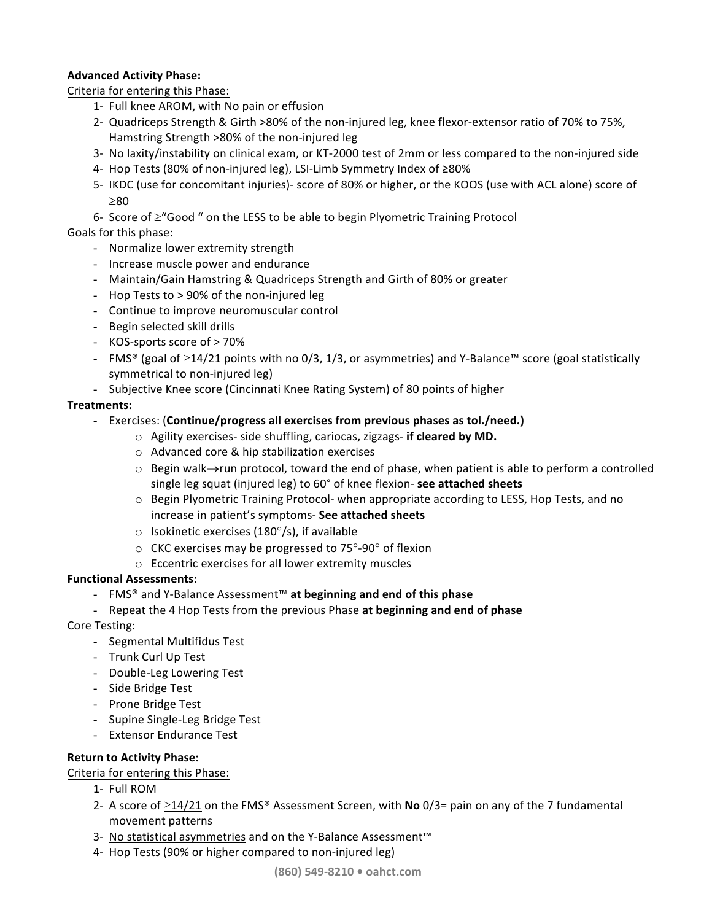# **Advanced Activity Phase:**

Criteria for entering this Phase:

- 1- Full knee AROM, with No pain or effusion
- 2- Quadriceps Strength & Girth >80% of the non-injured leg, knee flexor-extensor ratio of 70% to 75%, Hamstring Strength >80% of the non-injured leg
- 3- No laxity/instability on clinical exam, or KT-2000 test of 2mm or less compared to the non-injured side
- 4- Hop Tests (80% of non-injured leg), LSI-Limb Symmetry Index of  $≥80%$
- 5- IKDC (use for concomitant injuries)- score of 80% or higher, or the KOOS (use with ACL alone) score of  $>80$
- 6- Score of  $\geq$ "Good " on the LESS to be able to begin Plyometric Training Protocol

# Goals for this phase:

- Normalize lower extremity strength
- Increase muscle power and endurance
- Maintain/Gain Hamstring & Quadriceps Strength and Girth of 80% or greater
- Hop Tests to  $> 90\%$  of the non-injured leg
- Continue to improve neuromuscular control
- Begin selected skill drills
- KOS-sports score of > 70%
- FMS® (goal of ≥14/21 points with no 0/3, 1/3, or asymmetries) and Y-Balance™ score (goal statistically symmetrical to non-injured leg)
- Subjective Knee score (Cincinnati Knee Rating System) of 80 points of higher

# **Treatments:**

- Exercises: (Continue/progress all exercises from previous phases as tol./need.)
	- o Agility exercises- side shuffling, cariocas, zigzags- if cleared by MD.
		- $\circ$  Advanced core & hip stabilization exercises
		- $\circ$  Begin walk $\rightarrow$ run protocol, toward the end of phase, when patient is able to perform a controlled single leg squat (injured leg) to 60° of knee flexion- see attached sheets
		- $\circ$  Begin Plyometric Training Protocol- when appropriate according to LESS, Hop Tests, and no increase in patient's symptoms- See attached sheets
		- $\circ$  Isokinetic exercises (180 $\circ$ /s), if available
		- $\circ$  CKC exercises may be progressed to 75 $\degree$ -90 $\degree$  of flexion
		- $\circ$  Eccentric exercises for all lower extremity muscles

# **Functional Assessments:**

- FMS® and Y-Balance Assessment™ **at beginning and end of this phase**
- Repeat the 4 Hop Tests from the previous Phase at beginning and end of phase

# Core Testing:

- Segmental Multifidus Test
- Trunk Curl Up Test
- Double-Leg Lowering Test
- Side Bridge Test
- Prone Bridge Test
- Supine Single-Leg Bridge Test
- Extensor Endurance Test

# **Return to Activity Phase:**

Criteria for entering this Phase:

- 1- Full ROM
- 2- A score of  $\geq$ 14/21 on the FMS<sup>®</sup> Assessment Screen, with **No** 0/3= pain on any of the 7 fundamental movement patterns
- 3- No statistical asymmetries and on the Y-Balance Assessment<sup>™</sup>
- 4- Hop Tests (90% or higher compared to non-injured leg)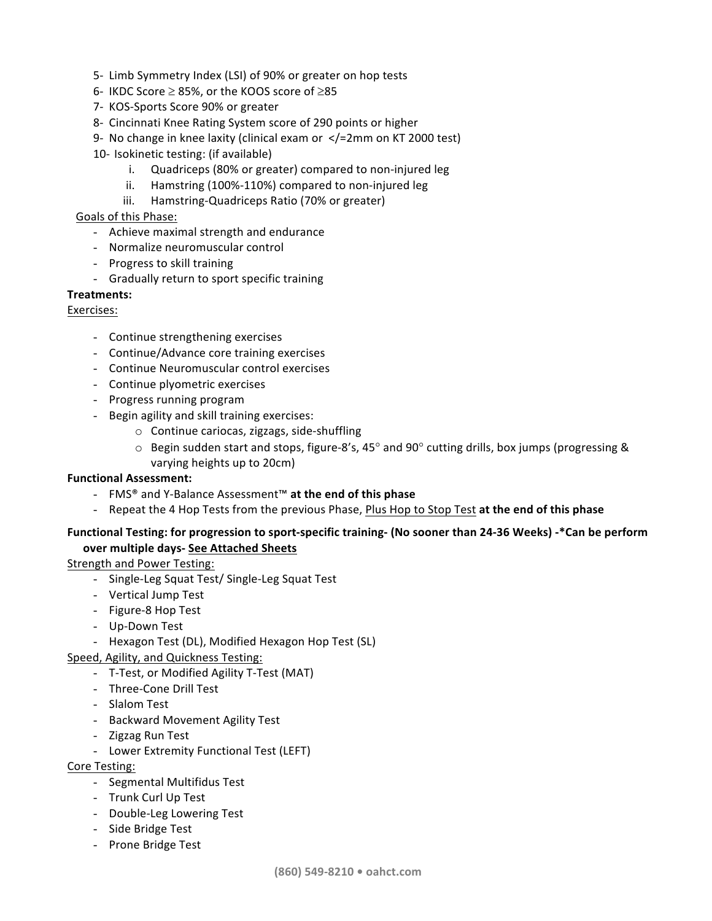- 5- Limb Symmetry Index (LSI) of 90% or greater on hop tests
- 6- IKDC Score  $\geq$  85%, or the KOOS score of  $\geq$ 85
- 7- KOS-Sports Score 90% or greater
- 8- Cincinnati Knee Rating System score of 290 points or higher
- 9- No change in knee laxity (clinical exam or  $\langle$  =2mm on KT 2000 test)
- 10- Isokinetic testing: (if available)
	- i. Quadriceps (80% or greater) compared to non-injured leg
	- ii. Hamstring (100%-110%) compared to non-injured leg
	- iii. Hamstring-Quadriceps Ratio (70% or greater)

# Goals of this Phase:

- Achieve maximal strength and endurance
- Normalize neuromuscular control
- Progress to skill training
- Gradually return to sport specific training

# **Treatments:**

# Exercises:

- Continue strengthening exercises
- Continue/Advance core training exercises
- Continue Neuromuscular control exercises
- Continue plyometric exercises
- Progress running program
- Begin agility and skill training exercises:
	- $\circ$  Continue cariocas, zigzags, side-shuffling
	- $\circ$  Begin sudden start and stops, figure-8's, 45° and 90° cutting drills, box jumps (progressing & varying heights up to 20cm)

# **Functional Assessment:**

- FMS® and Y-Balance Assessment™ **at the end of this phase**
- Repeat the 4 Hop Tests from the previous Phase, Plus Hop to Stop Test at the end of this phase

# Functional Testing: for progression to sport-specific training- (No sooner than 24-36 Weeks) -\*Can be perform **over multiple days- See Attached Sheets**

# Strength and Power Testing:

- Single-Leg Squat Test/ Single-Leg Squat Test
- Vertical Jump Test
- Figure-8 Hop Test
- Up-Down Test
- Hexagon Test (DL), Modified Hexagon Hop Test (SL)
- Speed, Agility, and Quickness Testing:
	- T-Test, or Modified Agility T-Test (MAT)
	- Three-Cone Drill Test
	- Slalom Test
	- Backward Movement Agility Test
	- Zigzag Run Test
	- Lower Extremity Functional Test (LEFT)

# Core Testing:

- Segmental Multifidus Test
- Trunk Curl Up Test
- Double-Leg Lowering Test
- Side Bridge Test
- Prone Bridge Test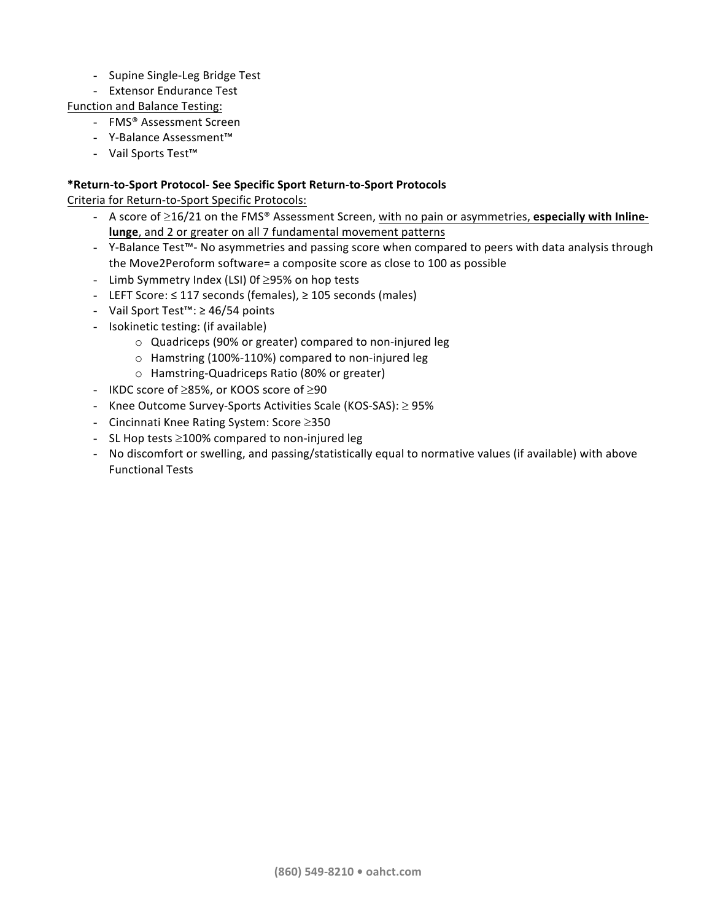- Supine Single-Leg Bridge Test
- Extensor Endurance Test
- Function and Balance Testing:
	- FMS® Assessment Screen
	- Y-Balance Assessment™
	- Vail Sports Test<sup>™</sup>

# **\*Return-to-Sport Protocol- See Specific Sport Return-to-Sport Protocols**

Criteria for Return-to-Sport Specific Protocols:

- A score of  $\geq$ 16/21 on the FMS<sup>®</sup> Assessment Screen, with no pain or asymmetries, **especially with Inlinelunge**, and 2 or greater on all 7 fundamental movement patterns
- Y-Balance Test™- No asymmetries and passing score when compared to peers with data analysis through the Move2Peroform software= a composite score as close to 100 as possible
- Limb Symmetry Index (LSI) Of  $\geq$ 95% on hop tests
- LEFT Score: ≤ 117 seconds (females), ≥ 105 seconds (males)
- Vail Sport Test<sup>™</sup>: ≥ 46/54 points
- Isokinetic testing: (if available)
	- $\circ$  Quadriceps (90% or greater) compared to non-injured leg
	- $\circ$  Hamstring (100%-110%) compared to non-injured leg
	- o Hamstring-Quadriceps Ratio (80% or greater)
- IKDC score of  $\geq$ 85%, or KOOS score of  $\geq$ 90
- Knee Outcome Survey-Sports Activities Scale (KOS-SAS):  $\geq$  95%
- Cincinnati Knee Rating System: Score  $\geq$ 350
- SL Hop tests  $\geq$ 100% compared to non-injured leg
- No discomfort or swelling, and passing/statistically equal to normative values (if available) with above Functional Tests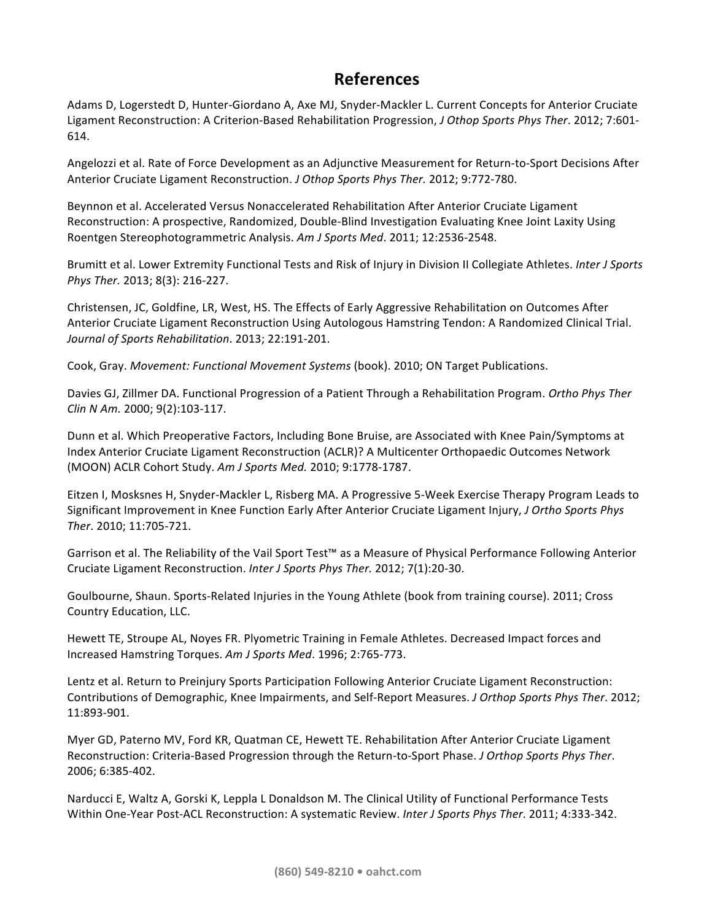# **References**

Adams D, Logerstedt D, Hunter-Giordano A, Axe MJ, Snyder-Mackler L. Current Concepts for Anterior Cruciate Ligament Reconstruction: A Criterion-Based Rehabilitation Progression, *J Othop Sports Phys Ther*. 2012; 7:601-614.

Angelozzi et al. Rate of Force Development as an Adjunctive Measurement for Return-to-Sport Decisions After Anterior Cruciate Ligament Reconstruction. *J Othop Sports Phys Ther.* 2012; 9:772-780.

Beynnon et al. Accelerated Versus Nonaccelerated Rehabilitation After Anterior Cruciate Ligament Reconstruction: A prospective, Randomized, Double-Blind Investigation Evaluating Knee Joint Laxity Using Roentgen Stereophotogrammetric Analysis. Am J Sports Med. 2011; 12:2536-2548.

Brumitt et al. Lower Extremity Functional Tests and Risk of Injury in Division II Collegiate Athletes. *Inter J Sports Phys Ther.* 2013; 8(3): 216-227.

Christensen, JC, Goldfine, LR, West, HS. The Effects of Early Aggressive Rehabilitation on Outcomes After Anterior Cruciate Ligament Reconstruction Using Autologous Hamstring Tendon: A Randomized Clinical Trial. *Journal of Sports Rehabilitation*. 2013; 22:191-201.

Cook, Gray. *Movement: Functional Movement Systems* (book). 2010; ON Target Publications.

Davies GJ, Zillmer DA. Functional Progression of a Patient Through a Rehabilitation Program. *Ortho Phys Ther Clin N Am.* 2000; 9(2):103-117.

Dunn et al. Which Preoperative Factors, Including Bone Bruise, are Associated with Knee Pain/Symptoms at Index Anterior Cruciate Ligament Reconstruction (ACLR)? A Multicenter Orthopaedic Outcomes Network (MOON) ACLR Cohort Study. Am J Sports Med. 2010; 9:1778-1787.

Eitzen I, Mosksnes H, Snyder-Mackler L, Risberg MA. A Progressive 5-Week Exercise Therapy Program Leads to Significant Improvement in Knee Function Early After Anterior Cruciate Ligament Injury, *J Ortho Sports Phys Ther*. 2010; 11:705-721.

Garrison et al. The Reliability of the Vail Sport Test™ as a Measure of Physical Performance Following Anterior Cruciate Ligament Reconstruction. Inter J Sports Phys Ther. 2012; 7(1):20-30.

Goulbourne, Shaun. Sports-Related Injuries in the Young Athlete (book from training course). 2011; Cross Country Education, LLC.

Hewett TE, Stroupe AL, Noyes FR. Plyometric Training in Female Athletes. Decreased Impact forces and Increased Hamstring Torques. *Am J Sports Med*. 1996; 2:765-773.

Lentz et al. Return to Preinjury Sports Participation Following Anterior Cruciate Ligament Reconstruction: Contributions of Demographic, Knee Impairments, and Self-Report Measures. *J Orthop Sports Phys Ther*. 2012; 11:893-901.

Myer GD, Paterno MV, Ford KR, Quatman CE, Hewett TE. Rehabilitation After Anterior Cruciate Ligament Reconstruction: Criteria-Based Progression through the Return-to-Sport Phase. *J Orthop Sports Phys Ther*. 2006; 6:385-402.

Narducci E, Waltz A, Gorski K, Leppla L Donaldson M. The Clinical Utility of Functional Performance Tests Within One-Year Post-ACL Reconstruction: A systematic Review. *Inter J Sports Phys Ther.* 2011; 4:333-342.